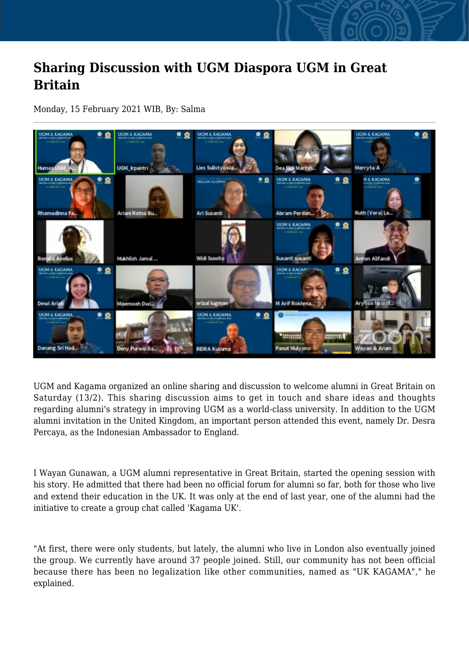## **Sharing Discussion with UGM Diaspora UGM in Great Britain**

Monday, 15 February 2021 WIB, By: Salma



UGM and Kagama organized an online sharing and discussion to welcome alumni in Great Britain on Saturday (13/2). This sharing discussion aims to get in touch and share ideas and thoughts regarding alumni's strategy in improving UGM as a world-class university. In addition to the UGM alumni invitation in the United Kingdom, an important person attended this event, namely Dr. Desra Percaya, as the Indonesian Ambassador to England.

I Wayan Gunawan, a UGM alumni representative in Great Britain, started the opening session with his story. He admitted that there had been no official forum for alumni so far, both for those who live and extend their education in the UK. It was only at the end of last year, one of the alumni had the initiative to create a group chat called 'Kagama UK'.

"At first, there were only students, but lately, the alumni who live in London also eventually joined the group. We currently have around 37 people joined. Still, our community has not been official because there has been no legalization like other communities, named as "UK KAGAMA"," he explained.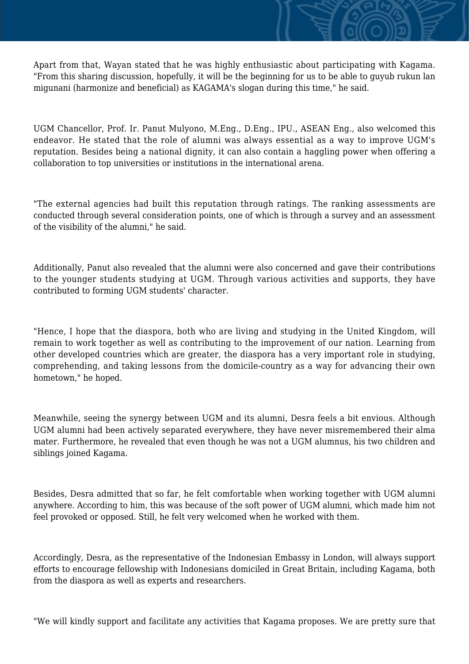Apart from that, Wayan stated that he was highly enthusiastic about participating with Kagama. "From this sharing discussion, hopefully, it will be the beginning for us to be able to guyub rukun lan migunani (harmonize and beneficial) as KAGAMA's slogan during this time," he said.

UGM Chancellor, Prof. Ir. Panut Mulyono, M.Eng., D.Eng., IPU., ASEAN Eng., also welcomed this endeavor. He stated that the role of alumni was always essential as a way to improve UGM's reputation. Besides being a national dignity, it can also contain a haggling power when offering a collaboration to top universities or institutions in the international arena.

"The external agencies had built this reputation through ratings. The ranking assessments are conducted through several consideration points, one of which is through a survey and an assessment of the visibility of the alumni," he said.

Additionally, Panut also revealed that the alumni were also concerned and gave their contributions to the younger students studying at UGM. Through various activities and supports, they have contributed to forming UGM students' character.

"Hence, I hope that the diaspora, both who are living and studying in the United Kingdom, will remain to work together as well as contributing to the improvement of our nation. Learning from other developed countries which are greater, the diaspora has a very important role in studying, comprehending, and taking lessons from the domicile-country as a way for advancing their own hometown," he hoped.

Meanwhile, seeing the synergy between UGM and its alumni, Desra feels a bit envious. Although UGM alumni had been actively separated everywhere, they have never misremembered their alma mater. Furthermore, he revealed that even though he was not a UGM alumnus, his two children and siblings joined Kagama.

Besides, Desra admitted that so far, he felt comfortable when working together with UGM alumni anywhere. According to him, this was because of the soft power of UGM alumni, which made him not feel provoked or opposed. Still, he felt very welcomed when he worked with them.

Accordingly, Desra, as the representative of the Indonesian Embassy in London, will always support efforts to encourage fellowship with Indonesians domiciled in Great Britain, including Kagama, both from the diaspora as well as experts and researchers.

"We will kindly support and facilitate any activities that Kagama proposes. We are pretty sure that